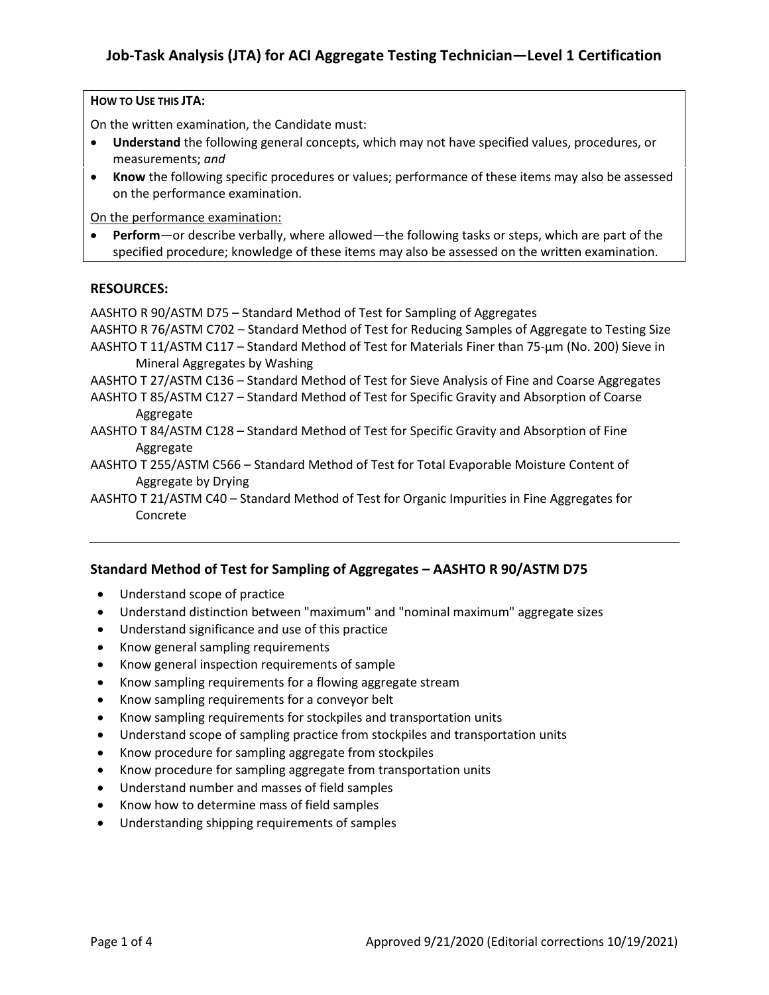#### **HOW TO USE THIS JTA:**

On the written examination, the Candidate must:

- **Understand** the following general concepts, which may not have specified values, procedures, or measurements; *and*
- **Know** the following specific procedures or values; performance of these items may also be assessed on the performance examination.

On the performance examination:

• **Perform**—or describe verbally, where allowed—the following tasks or steps, which are part of the specified procedure; knowledge of these items may also be assessed on the written examination.

#### **RESOURCES:**

AASHTO R 90/ASTM D75 – Standard Method of Test for Sampling of Aggregates

AASHTO R 76/ASTM C702 – Standard Method of Test for Reducing Samples of Aggregate to Testing Size AASHTO T 11/ASTM C117 – Standard Method of Test for Materials Finer than 75-µm (No. 200) Sieve in Mineral Aggregates by Washing

AASHTO T 27/ASTM C136 – Standard Method of Test for Sieve Analysis of Fine and Coarse Aggregates

- AASHTO T 85/ASTM C127 Standard Method of Test for Specific Gravity and Absorption of Coarse Aggregate
- AASHTO T 84/ASTM C128 Standard Method of Test for Specific Gravity and Absorption of Fine Aggregate

AASHTO T 255/ASTM C566 – Standard Method of Test for Total Evaporable Moisture Content of Aggregate by Drying

AASHTO T 21/ASTM C40 – Standard Method of Test for Organic Impurities in Fine Aggregates for Concrete

#### **Standard Method of Test for Sampling of Aggregates – AASHTO R 90/ASTM D75**

- Understand scope of practice
- Understand distinction between "maximum" and "nominal maximum" aggregate sizes
- Understand significance and use of this practice
- Know general sampling requirements
- Know general inspection requirements of sample
- Know sampling requirements for a flowing aggregate stream
- Know sampling requirements for a conveyor belt
- Know sampling requirements for stockpiles and transportation units
- Understand scope of sampling practice from stockpiles and transportation units
- Know procedure for sampling aggregate from stockpiles
- Know procedure for sampling aggregate from transportation units
- Understand number and masses of field samples
- Know how to determine mass of field samples
- Understanding shipping requirements of samples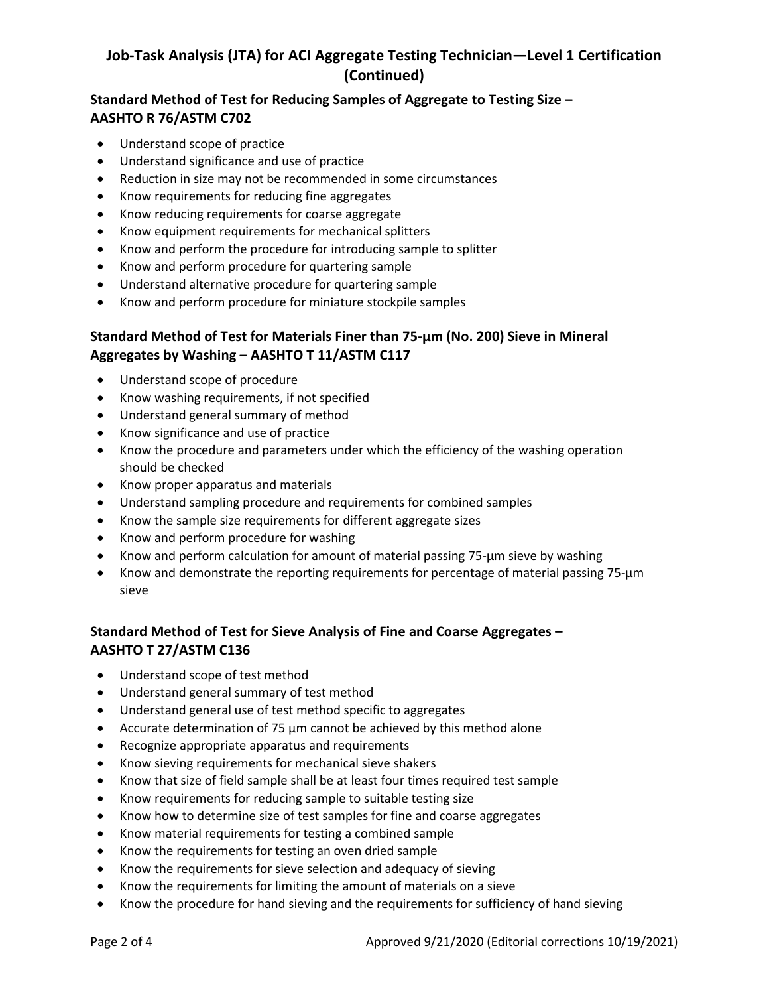# **Job-Task Analysis (JTA) for ACI Aggregate Testing Technician—Level 1 Certification (Continued)**

### **Standard Method of Test for Reducing Samples of Aggregate to Testing Size – AASHTO R 76/ASTM C702**

- Understand scope of practice
- Understand significance and use of practice
- Reduction in size may not be recommended in some circumstances
- Know requirements for reducing fine aggregates
- Know reducing requirements for coarse aggregate
- Know equipment requirements for mechanical splitters
- Know and perform the procedure for introducing sample to splitter
- Know and perform procedure for quartering sample
- Understand alternative procedure for quartering sample
- Know and perform procedure for miniature stockpile samples

## **Standard Method of Test for Materials Finer than 75-µm (No. 200) Sieve in Mineral Aggregates by Washing – AASHTO T 11/ASTM C117**

- Understand scope of procedure
- Know washing requirements, if not specified
- Understand general summary of method
- Know significance and use of practice
- Know the procedure and parameters under which the efficiency of the washing operation should be checked
- Know proper apparatus and materials
- Understand sampling procedure and requirements for combined samples
- Know the sample size requirements for different aggregate sizes
- Know and perform procedure for washing
- Know and perform calculation for amount of material passing 75-μm sieve by washing
- Know and demonstrate the reporting requirements for percentage of material passing 75-μm sieve

## **Standard Method of Test for Sieve Analysis of Fine and Coarse Aggregates – AASHTO T 27/ASTM C136**

- Understand scope of test method
- Understand general summary of test method
- Understand general use of test method specific to aggregates
- Accurate determination of 75 µm cannot be achieved by this method alone
- Recognize appropriate apparatus and requirements
- Know sieving requirements for mechanical sieve shakers
- Know that size of field sample shall be at least four times required test sample
- Know requirements for reducing sample to suitable testing size
- Know how to determine size of test samples for fine and coarse aggregates
- Know material requirements for testing a combined sample
- Know the requirements for testing an oven dried sample
- Know the requirements for sieve selection and adequacy of sieving
- Know the requirements for limiting the amount of materials on a sieve
- Know the procedure for hand sieving and the requirements for sufficiency of hand sieving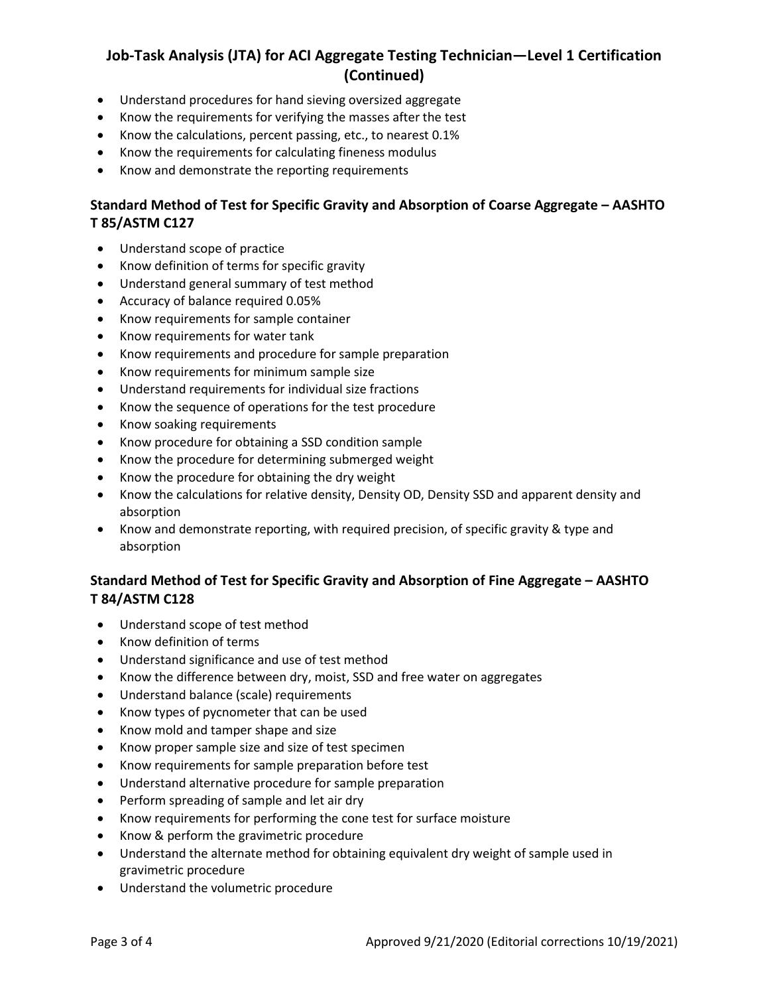# **Job-Task Analysis (JTA) for ACI Aggregate Testing Technician—Level 1 Certification (Continued)**

- Understand procedures for hand sieving oversized aggregate
- Know the requirements for verifying the masses after the test
- Know the calculations, percent passing, etc., to nearest 0.1%
- Know the requirements for calculating fineness modulus
- Know and demonstrate the reporting requirements

### **Standard Method of Test for Specific Gravity and Absorption of Coarse Aggregate – AASHTO T 85/ASTM C127**

- Understand scope of practice
- Know definition of terms for specific gravity
- Understand general summary of test method
- Accuracy of balance required 0.05%
- Know requirements for sample container
- Know requirements for water tank
- Know requirements and procedure for sample preparation
- Know requirements for minimum sample size
- Understand requirements for individual size fractions
- Know the sequence of operations for the test procedure
- Know soaking requirements
- Know procedure for obtaining a SSD condition sample
- Know the procedure for determining submerged weight
- Know the procedure for obtaining the dry weight
- Know the calculations for relative density, Density OD, Density SSD and apparent density and absorption
- Know and demonstrate reporting, with required precision, of specific gravity & type and absorption

### **Standard Method of Test for Specific Gravity and Absorption of Fine Aggregate – AASHTO T 84/ASTM C128**

- Understand scope of test method
- Know definition of terms
- Understand significance and use of test method
- Know the difference between dry, moist, SSD and free water on aggregates
- Understand balance (scale) requirements
- Know types of pycnometer that can be used
- Know mold and tamper shape and size
- Know proper sample size and size of test specimen
- Know requirements for sample preparation before test
- Understand alternative procedure for sample preparation
- Perform spreading of sample and let air dry
- Know requirements for performing the cone test for surface moisture
- Know & perform the gravimetric procedure
- Understand the alternate method for obtaining equivalent dry weight of sample used in gravimetric procedure
- Understand the volumetric procedure